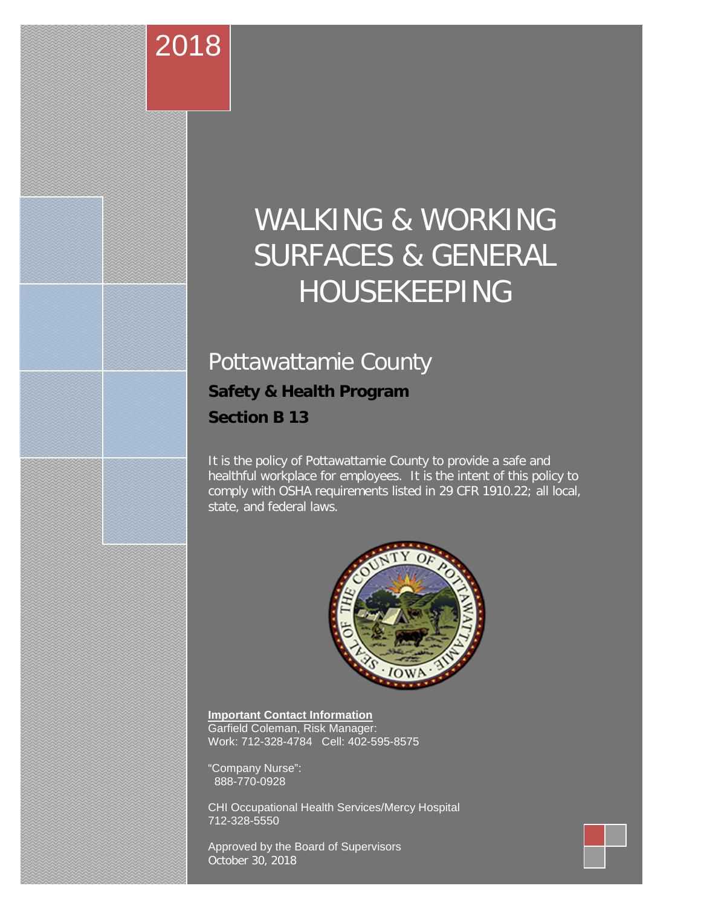## WALKING & WORKING SURFACES & GENERAL HOUSEKEEPING

## Pottawattamie County **Safety & Health Program Section B 13**

**o**

2018

It is the policy of Pottawattamie County to provide a safe and healthful workplace for employees. It is the intent of this policy to comply with OSHA requirements listed in 29 CFR 1910.22; all local, state, and federal laws.



**Important Contact Information** Garfield Coleman, Risk Manager: Work: 712-328-4784 Cell: 402-595-8575

"Company Nurse": 888-770-0928

CHI Occupational Health Services/Mercy Hospital 712-328-5550

<span id="page-0-0"></span>Approved by the Board of Supervisors October 30, 2018

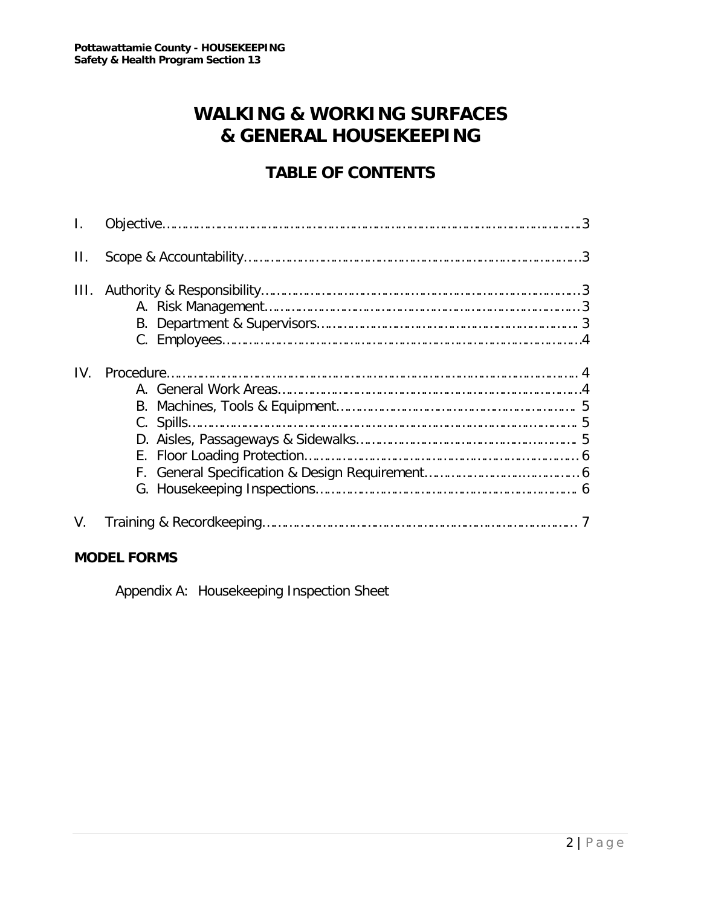### **WALKING & WORKING SURFACES & GENERAL HOUSEKEEPING**

#### **TABLE OF CONTENTS**

| $\Pi$ . |  |
|---------|--|
| III.    |  |
| IV.     |  |
| V.      |  |

#### **MODEL FORMS**

Appendix A: Housekeeping Inspection Sheet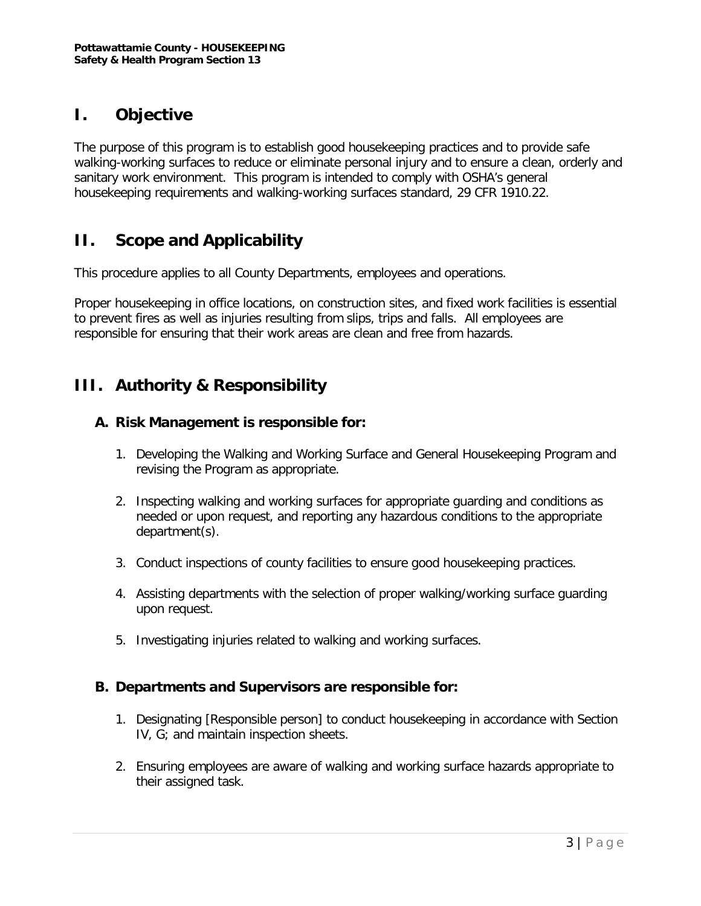#### **I. Objective**

The purpose of this program is to establish good housekeeping practices and to provide safe walking-working surfaces to reduce or eliminate personal injury and to ensure a clean, orderly and sanitary work environment. This program is intended to comply with OSHA's general housekeeping requirements and walking-working surfaces standard, 29 CFR 1910.22.

#### **II. Scope and Applicability**

This procedure applies to all County Departments, employees and operations.

Proper housekeeping in office locations, on construction sites, and fixed work facilities is essential to prevent fires as well as injuries resulting from slips, trips and falls. All employees are responsible for ensuring that their work areas are clean and free from hazards.

#### **III. Authority & Responsibility**

#### **A. Risk Management is responsible for:**

- 1. Developing the Walking and Working Surface and General Housekeeping Program and revising the Program as appropriate.
- 2. Inspecting walking and working surfaces for appropriate guarding and conditions as needed or upon request, and reporting any hazardous conditions to the appropriate department(s).
- 3. Conduct inspections of county facilities to ensure good housekeeping practices.
- 4. Assisting departments with the selection of proper walking/working surface guarding upon request.
- 5. Investigating injuries related to walking and working surfaces.

#### **B. Departments and Supervisors are responsible for:**

- 1. Designating [Responsible person] to conduct housekeeping in accordance with Section IV, G; and maintain inspection sheets.
- 2. Ensuring employees are aware of walking and working surface hazards appropriate to their assigned task.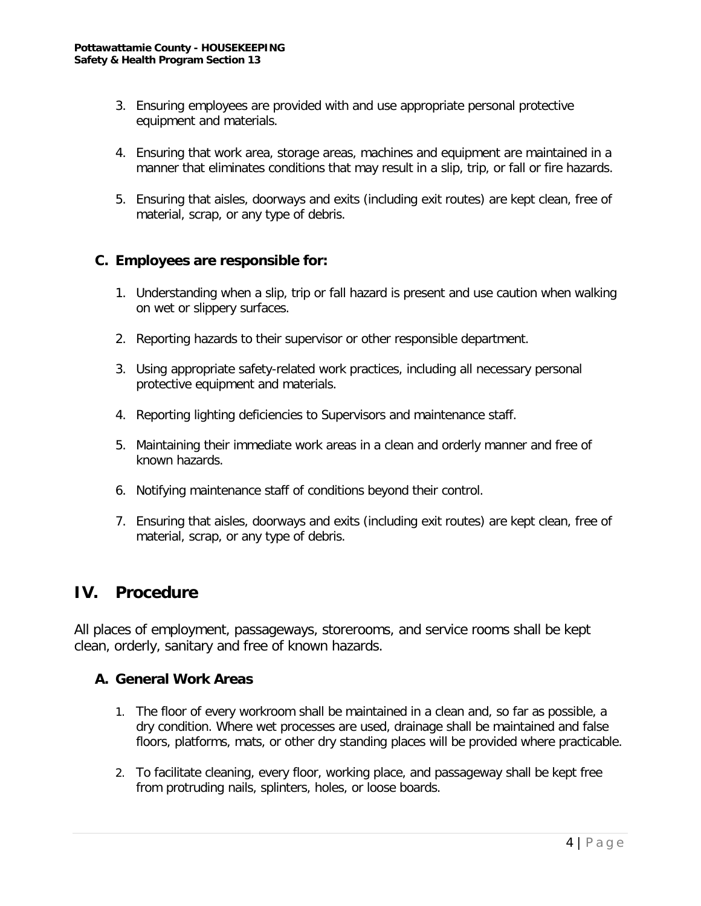- 3. Ensuring employees are provided with and use appropriate personal protective equipment and materials.
- 4. Ensuring that work area, storage areas, machines and equipment are maintained in a manner that eliminates conditions that may result in a slip, trip, or fall or fire hazards.
- 5. Ensuring that aisles, doorways and exits (including exit routes) are kept clean, free of material, scrap, or any type of debris.

#### **C. Employees are responsible for:**

- 1. Understanding when a slip, trip or fall hazard is present and use caution when walking on wet or slippery surfaces.
- 2. Reporting hazards to their supervisor or other responsible department.
- 3. Using appropriate safety-related work practices, including all necessary personal protective equipment and materials.
- 4. Reporting lighting deficiencies to Supervisors and maintenance staff.
- 5. Maintaining their immediate work areas in a clean and orderly manner and free of known hazards.
- 6. Notifying maintenance staff of conditions beyond their control.
- 7. Ensuring that aisles, doorways and exits (including exit routes) are kept clean, free of material, scrap, or any type of debris.

#### **IV. Procedure**

All places of employment, passageways, storerooms, and service rooms shall be kept clean, orderly, sanitary and free of known hazards.

#### **A. General Work Areas**

- 1. The floor of every workroom shall be maintained in a clean and, so far as possible, a dry condition. Where wet processes are used, drainage shall be maintained and false floors, platforms, mats, or other dry standing places will be provided where practicable.
- 2. To facilitate cleaning, every floor, working place, and passageway shall be kept free from protruding nails, splinters, holes, or loose boards.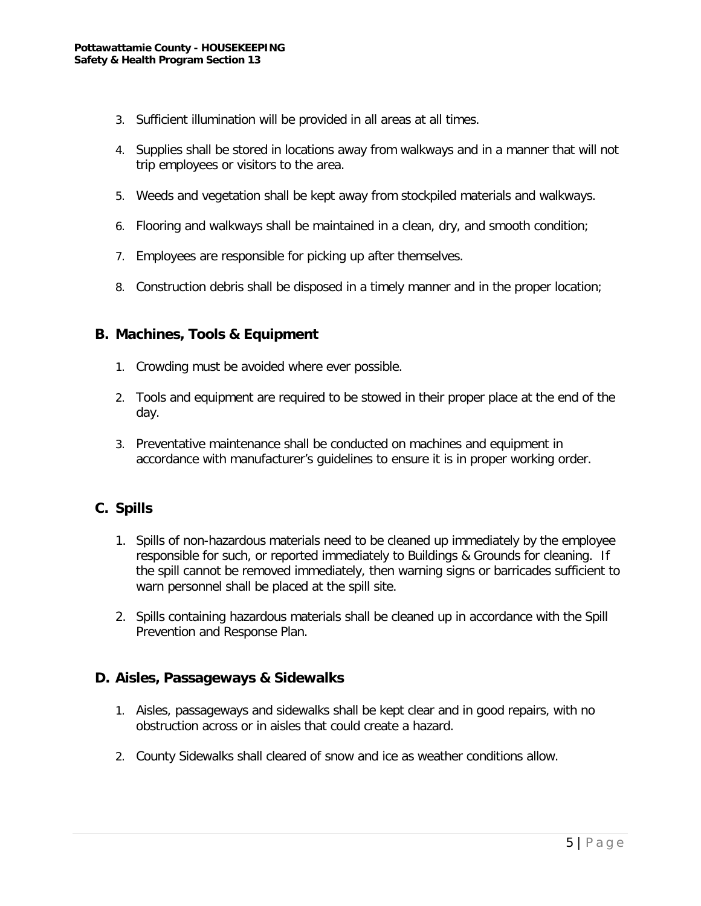- 3. Sufficient illumination will be provided in all areas at all times.
- 4. Supplies shall be stored in locations away from walkways and in a manner that will not trip employees or visitors to the area.
- 5. Weeds and vegetation shall be kept away from stockpiled materials and walkways.
- 6. Flooring and walkways shall be maintained in a clean, dry, and smooth condition;
- 7. Employees are responsible for picking up after themselves.
- 8. Construction debris shall be disposed in a timely manner and in the proper location;

#### **B. Machines, Tools & Equipment**

- 1. Crowding must be avoided where ever possible.
- 2. Tools and equipment are required to be stowed in their proper place at the end of the day.
- 3. Preventative maintenance shall be conducted on machines and equipment in accordance with manufacturer's guidelines to ensure it is in proper working order.

#### **C. Spills**

- 1. Spills of non-hazardous materials need to be cleaned up immediately by the employee responsible for such, or reported immediately to Buildings & Grounds for cleaning. If the spill cannot be removed immediately, then warning signs or barricades sufficient to warn personnel shall be placed at the spill site.
- 2. Spills containing hazardous materials shall be cleaned up in accordance with the Spill Prevention and Response Plan.

#### **D. Aisles, Passageways & Sidewalks**

- 1. Aisles, passageways and sidewalks shall be kept clear and in good repairs, with no obstruction across or in aisles that could create a hazard.
- 2. County Sidewalks shall cleared of snow and ice as weather conditions allow.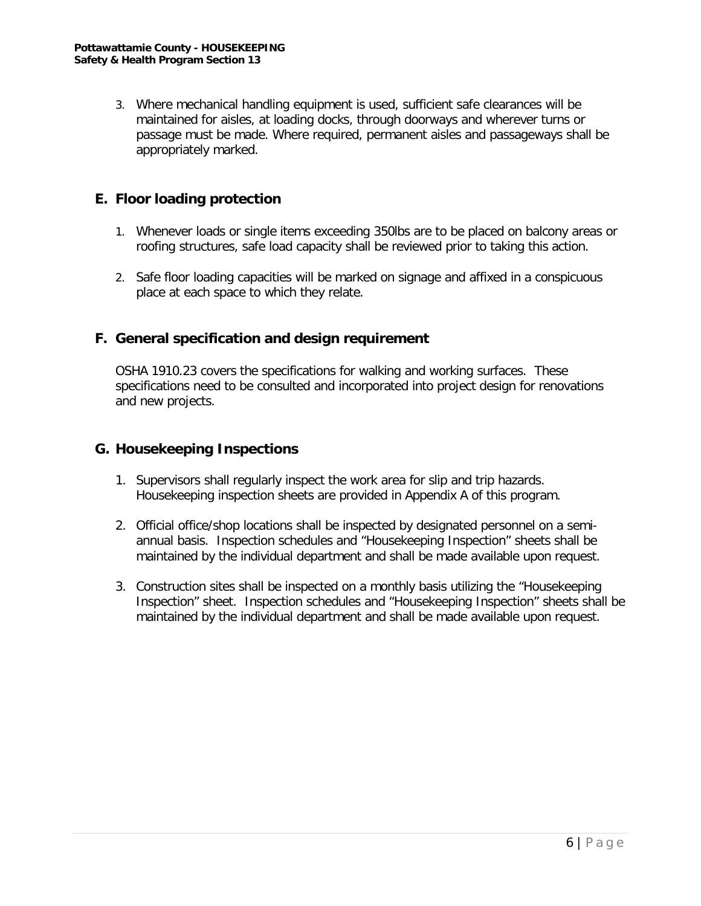3. Where mechanical handling equipment is used, sufficient safe clearances will be maintained for aisles, at loading docks, through doorways and wherever turns or passage must be made. Where required, permanent aisles and passageways shall be appropriately marked.

#### **E. Floor loading protection**

- 1. Whenever loads or single items exceeding 350lbs are to be placed on balcony areas or roofing structures, safe load capacity shall be reviewed prior to taking this action.
- 2. Safe floor loading capacities will be marked on signage and affixed in a conspicuous place at each space to which they relate.

#### **F. General specification and design requirement**

OSHA 1910.23 covers the specifications for walking and working surfaces. These specifications need to be consulted and incorporated into project design for renovations and new projects.

#### **G. Housekeeping Inspections**

- 1. Supervisors shall regularly inspect the work area for slip and trip hazards. Housekeeping inspection sheets are provided in Appendix A of this program.
- 2. Official office/shop locations shall be inspected by designated personnel on a semiannual basis. Inspection schedules and "Housekeeping Inspection" sheets shall be maintained by the individual department and shall be made available upon request.
- 3. Construction sites shall be inspected on a monthly basis utilizing the "Housekeeping Inspection" sheet. Inspection schedules and "Housekeeping Inspection" sheets shall be maintained by the individual department and shall be made available upon request.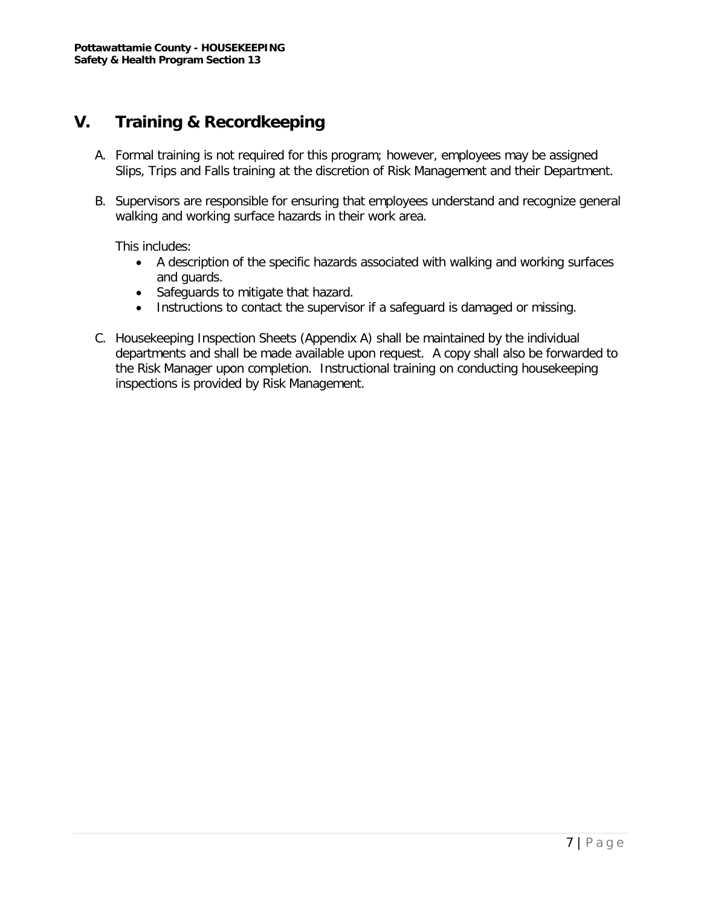#### **V. Training & Recordkeeping**

- A. Formal training is not required for this program; however, employees may be assigned Slips, Trips and Falls training at the discretion of Risk Management and their Department.
- B. Supervisors are responsible for ensuring that employees understand and recognize general walking and working surface hazards in their work area.

This includes:

- A description of the specific hazards associated with walking and working surfaces and guards.
- Safeguards to mitigate that hazard.
- Instructions to contact the supervisor if a safeguard is damaged or missing.
- C. Housekeeping Inspection Sheets (Appendix A) shall be maintained by the individual departments and shall be made available upon request. A copy shall also be forwarded to the Risk Manager upon completion. Instructional training on conducting housekeeping inspections is provided by Risk Management.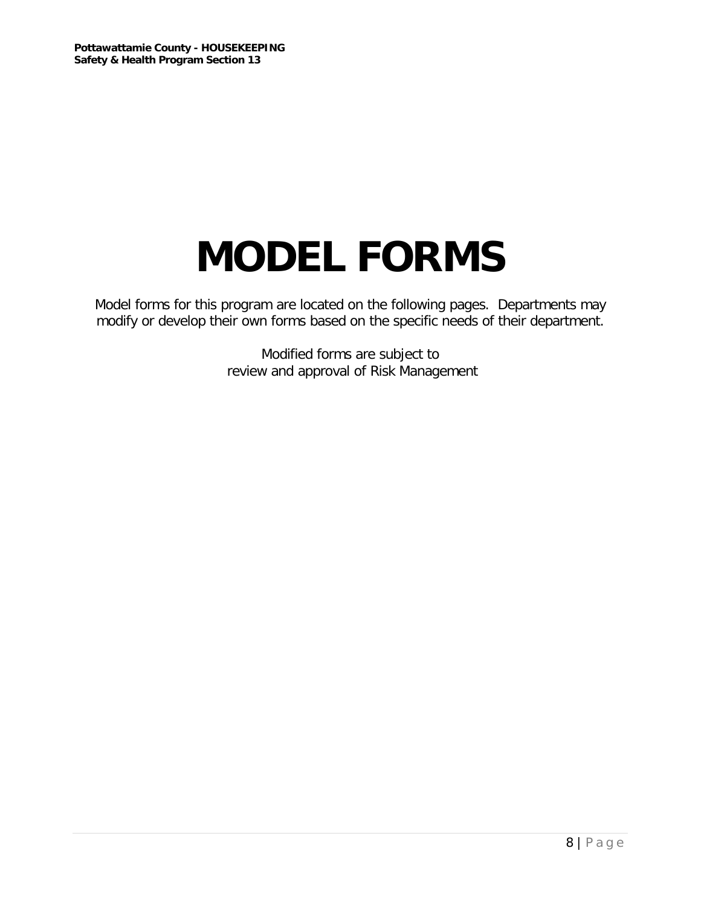# **MODEL FORMS**

Model forms for this program are located on the following pages. Departments may modify or develop their own forms based on the specific needs of their department.

> Modified forms are subject to review and approval of Risk Management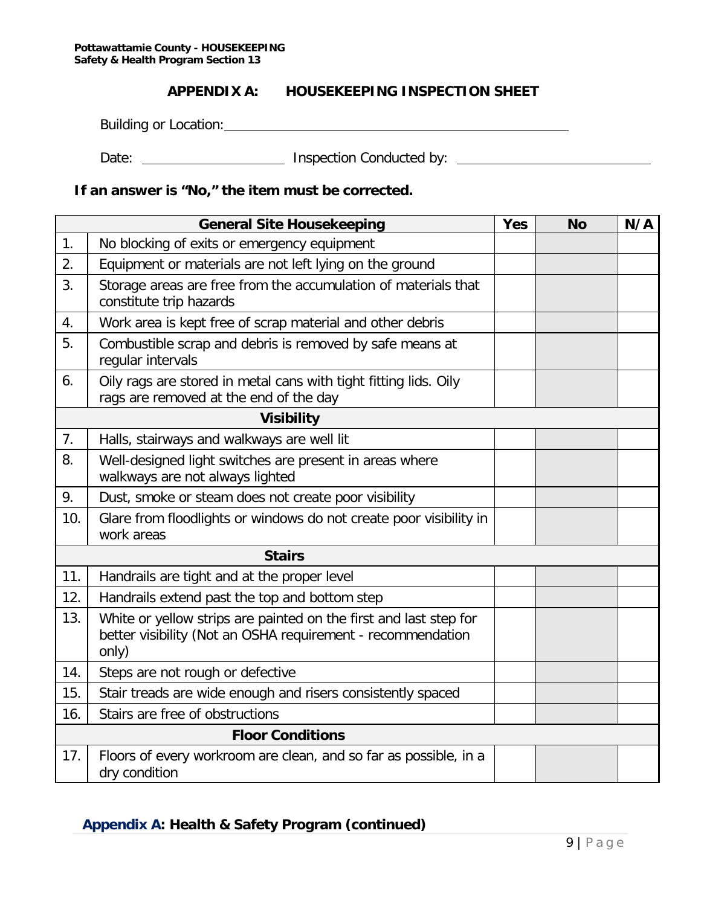#### **APPENDIX A: HOUSEKEEPING INSPECTION SHEET**

Building or Location: Department of the state of the state of the state of the state of the state of the state of the state of the state of the state of the state of the state of the state of the state of the state of the

Date: \_\_\_\_\_\_\_\_\_\_\_\_\_\_\_\_\_\_\_\_\_\_\_\_\_\_ Inspection Conducted by: \_\_\_\_\_\_\_\_\_\_\_\_\_\_\_\_\_\_\_\_\_\_

#### **If an answer is "No," the item must be corrected.**

| <b>General Site Housekeeping</b> |                                                                                                                                           | <b>Yes</b> | <b>No</b> | N/A |  |  |
|----------------------------------|-------------------------------------------------------------------------------------------------------------------------------------------|------------|-----------|-----|--|--|
| 1.                               | No blocking of exits or emergency equipment                                                                                               |            |           |     |  |  |
| 2.                               | Equipment or materials are not left lying on the ground                                                                                   |            |           |     |  |  |
| 3.                               | Storage areas are free from the accumulation of materials that<br>constitute trip hazards                                                 |            |           |     |  |  |
| 4.                               | Work area is kept free of scrap material and other debris                                                                                 |            |           |     |  |  |
| 5.                               | Combustible scrap and debris is removed by safe means at<br>regular intervals                                                             |            |           |     |  |  |
| 6.                               | Oily rags are stored in metal cans with tight fitting lids. Oily<br>rags are removed at the end of the day                                |            |           |     |  |  |
|                                  | <b>Visibility</b>                                                                                                                         |            |           |     |  |  |
| 7.                               | Halls, stairways and walkways are well lit                                                                                                |            |           |     |  |  |
| 8.                               | Well-designed light switches are present in areas where<br>walkways are not always lighted                                                |            |           |     |  |  |
| 9.                               | Dust, smoke or steam does not create poor visibility                                                                                      |            |           |     |  |  |
| 10.                              | Glare from floodlights or windows do not create poor visibility in<br>work areas                                                          |            |           |     |  |  |
|                                  | <b>Stairs</b>                                                                                                                             |            |           |     |  |  |
| 11.                              | Handrails are tight and at the proper level                                                                                               |            |           |     |  |  |
| 12.                              | Handrails extend past the top and bottom step                                                                                             |            |           |     |  |  |
| 13.                              | White or yellow strips are painted on the first and last step for<br>better visibility (Not an OSHA requirement - recommendation<br>only) |            |           |     |  |  |
| 14.                              | Steps are not rough or defective                                                                                                          |            |           |     |  |  |
| 15.                              | Stair treads are wide enough and risers consistently spaced                                                                               |            |           |     |  |  |
| 16.                              | Stairs are free of obstructions                                                                                                           |            |           |     |  |  |
|                                  | <b>Floor Conditions</b>                                                                                                                   |            |           |     |  |  |
| 17.                              | Floors of every workroom are clean, and so far as possible, in a<br>dry condition                                                         |            |           |     |  |  |

#### **Appendix A: Health & Safety Program (continued)**